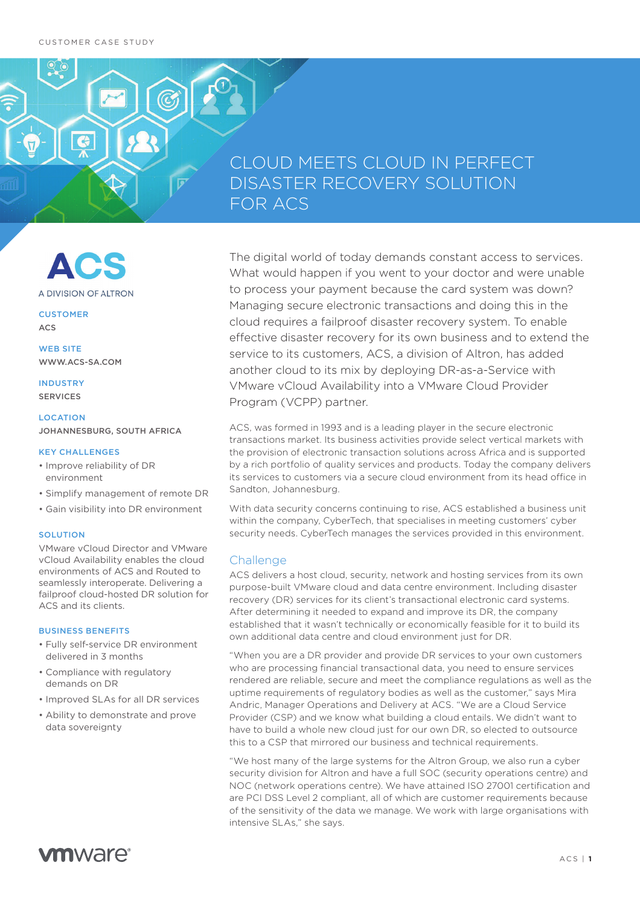$\overline{P}$ 

# CLOUD MEETS CLOUD IN PERFECT DISASTER RECOVERY SOLUTION FOR ACS



**CUSTOMER** 

ACS

WEB SITE WWW.ACS-SA.COM

INDUSTRY SERVICES

LOCATION JOHANNESBURG, SOUTH AFRICA

#### KEY CHALLENGES

- Improve reliability of DR environment
- Simplify management of remote DR
- Gain visibility into DR environment

## **SOLUTION**

VMware vCloud Director and VMware vCloud Availability enables the cloud environments of ACS and Routed to seamlessly interoperate. Delivering a failproof cloud-hosted DR solution for ACS and its clients.

### BUSINESS BENEFITS

- Fully self-service DR environment delivered in 3 months
- Compliance with regulatory demands on DR
- Improved SLAs for all DR services
- Ability to demonstrate and prove data sovereignty

The digital world of today demands constant access to services. What would happen if you went to your doctor and were unable to process your payment because the card system was down? Managing secure electronic transactions and doing this in the cloud requires a failproof disaster recovery system. To enable effective disaster recovery for its own business and to extend the service to its customers, ACS, a division of Altron, has added another cloud to its mix by deploying DR-as-a-Service with VMware vCloud Availability into a VMware Cloud Provider Program (VCPP) partner.

ACS, was formed in 1993 and is a leading player in the secure electronic transactions market. Its business activities provide select vertical markets with the provision of electronic transaction solutions across Africa and is supported by a rich portfolio of quality services and products. Today the company delivers its services to customers via a secure cloud environment from its head office in Sandton, Johannesburg.

With data security concerns continuing to rise, ACS established a business unit within the company, CyberTech, that specialises in meeting customers' cyber security needs. CyberTech manages the services provided in this environment.

# **Challenge**

ACS delivers a host cloud, security, network and hosting services from its own purpose-built VMware cloud and data centre environment. Including disaster recovery (DR) services for its client's transactional electronic card systems. After determining it needed to expand and improve its DR, the company established that it wasn't technically or economically feasible for it to build its own additional data centre and cloud environment just for DR.

"When you are a DR provider and provide DR services to your own customers who are processing financial transactional data, you need to ensure services rendered are reliable, secure and meet the compliance regulations as well as the uptime requirements of regulatory bodies as well as the customer," says Mira Andric, Manager Operations and Delivery at ACS. "We are a Cloud Service Provider (CSP) and we know what building a cloud entails. We didn't want to have to build a whole new cloud just for our own DR, so elected to outsource this to a CSP that mirrored our business and technical requirements.

"We host many of the large systems for the Altron Group, we also run a cyber security division for Altron and have a full SOC (security operations centre) and NOC (network operations centre). We have attained ISO 27001 certification and are PCI DSS Level 2 compliant, all of which are customer requirements because of the sensitivity of the data we manage. We work with large organisations with intensive SLAs," she says.

# **vm**ware<sup>®</sup>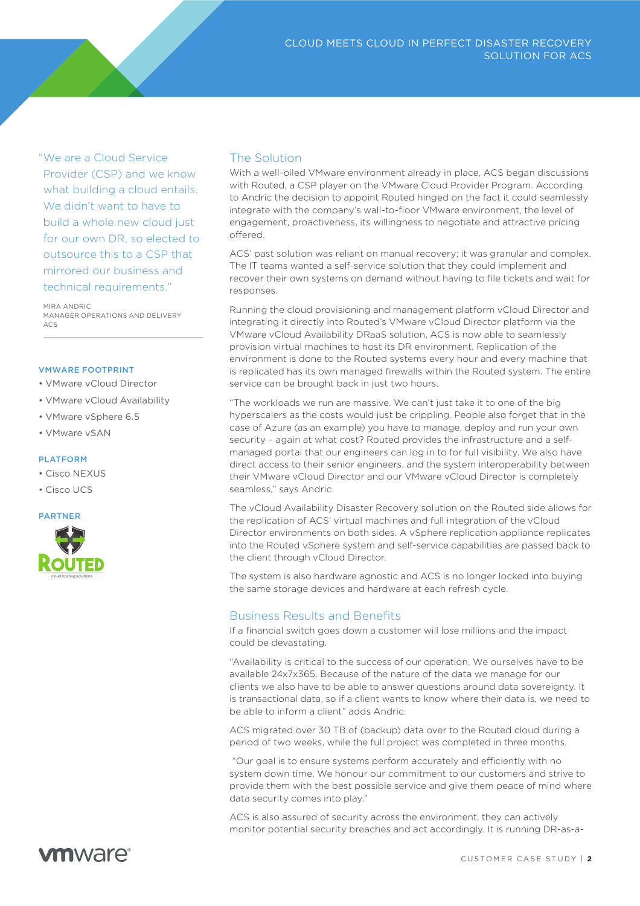"We are a Cloud Service Provider (CSP) and we know what building a cloud entails. We didn't want to have to build a whole new cloud just for our own DR, so elected to outsource this to a CSP that mirrored our business and technical requirements."

MIRA ANDRIC MANAGER OPERATIONS AND DELIVERY  $\triangle \cap \subseteq$ 

#### VMWARE FOOTPRINT

- VMware vCloud Director
- VMware vCloud Availability
- VMware vSphere 6.5
- VMware vSAN

#### PLATFORM

- Cisco NEXUS
- Cisco UCS

### PARTNER



# The Solution

With a well-oiled VMware environment already in place, ACS began discussions with Routed, a CSP player on the VMware Cloud Provider Program. According to Andric the decision to appoint Routed hinged on the fact it could seamlessly integrate with the company's wall-to-floor VMware environment, the level of engagement, proactiveness, its willingness to negotiate and attractive pricing of ered.

ACS' past solution was reliant on manual recovery; it was granular and complex. The IT teams wanted a self-service solution that they could implement and recover their own systems on demand without having to file tickets and wait for responses.

Running the cloud provisioning and management platform vCloud Director and integrating it directly into Routed's VMware vCloud Director platform via the VMware vCloud Availability DRaaS solution, ACS is now able to seamlessly provision virtual machines to host its DR environment. Replication of the environment is done to the Routed systems every hour and every machine that is replicated has its own managed firewalls within the Routed system. The entire service can be brought back in just two hours.

"The workloads we run are massive. We can't just take it to one of the big hyperscalers as the costs would just be crippling. People also forget that in the case of Azure (as an example) you have to manage, deploy and run your own security – again at what cost? Routed provides the infrastructure and a selfmanaged portal that our engineers can log in to for full visibility. We also have direct access to their senior engineers, and the system interoperability between their VMware vCloud Director and our VMware vCloud Director is completely seamless," says Andric.

The vCloud Availability Disaster Recovery solution on the Routed side allows for the replication of ACS' virtual machines and full integration of the vCloud Director environments on both sides. A vSphere replication appliance replicates into the Routed vSphere system and self-service capabilities are passed back to the client through vCloud Director.

The system is also hardware agnostic and ACS is no longer locked into buying the same storage devices and hardware at each refresh cycle.

# Business Results and Benefits

If a financial switch goes down a customer will lose millions and the impact could be devastating.

"Availability is critical to the success of our operation. We ourselves have to be available 24x7x365. Because of the nature of the data we manage for our clients we also have to be able to answer questions around data sovereignty. It is transactional data, so if a client wants to know where their data is, we need to be able to inform a client" adds Andric.

ACS migrated over 30 TB of (backup) data over to the Routed cloud during a period of two weeks, while the full project was completed in three months.

"Our goal is to ensure systems perform accurately and efficiently with no system down time. We honour our commitment to our customers and strive to provide them with the best possible service and give them peace of mind where data security comes into play."

ACS is also assured of security across the environment, they can actively monitor potential security breaches and act accordingly. It is running DR-as-a-